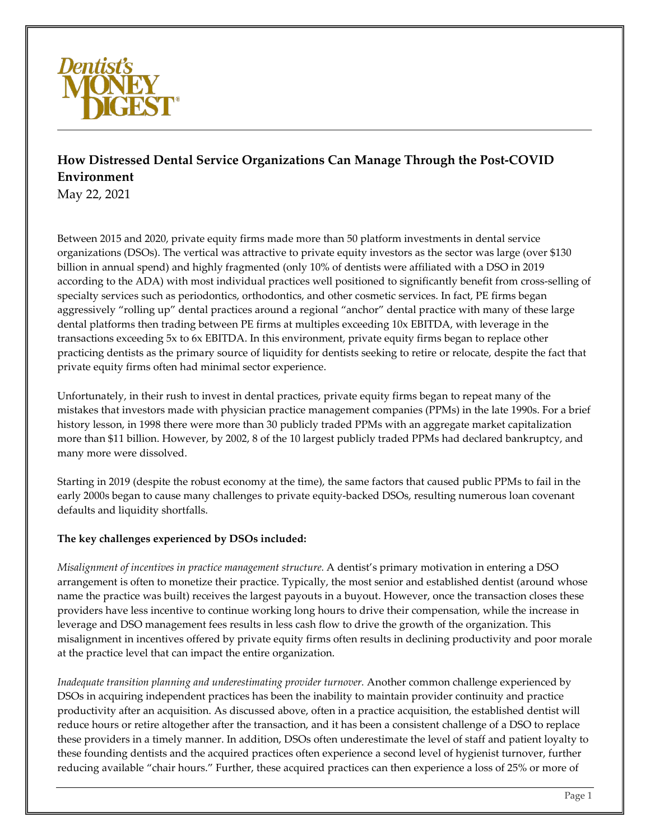

# **How Distressed Dental Service Organizations Can Manage Through the Post-COVID Environment**

May 22, 2021

Between 2015 and 2020, private equity firms made more than 50 platform investments in dental service organizations (DSOs). The vertical was attractive to private equity investors as the sector was large (over \$130 billion in annual spend) and highly fragmented (only 10% of dentists were affiliated with a DSO in 2019 according to the ADA) with most individual practices well positioned to significantly benefit from cross-selling of specialty services such as periodontics, orthodontics, and other cosmetic services. In fact, PE firms began aggressively "rolling up" dental practices around a regional "anchor" dental practice with many of these large dental platforms then trading between PE firms at multiples exceeding 10x EBITDA, with leverage in the transactions exceeding 5x to 6x EBITDA. In this environment, private equity firms began to replace other practicing dentists as the primary source of liquidity for dentists seeking to retire or relocate, despite the fact that private equity firms often had minimal sector experience.

Unfortunately, in their rush to invest in dental practices, private equity firms began to repeat many of the mistakes that investors made with physician practice management companies (PPMs) in the late 1990s. For a brief history lesson, in 1998 there were more than 30 publicly traded PPMs with an aggregate market capitalization more than \$11 billion. However, by 2002, 8 of the 10 largest publicly traded PPMs had declared bankruptcy, and many more were dissolved.

Starting in 2019 (despite the robust economy at the time), the same factors that caused public PPMs to fail in the early 2000s began to cause many challenges to private equity-backed DSOs, resulting numerous loan covenant defaults and liquidity shortfalls.

## **The key challenges experienced by DSOs included:**

*Misalignment of incentives in practice management structure.* A dentist's primary motivation in entering a DSO arrangement is often to monetize their practice. Typically, the most senior and established dentist (around whose name the practice was built) receives the largest payouts in a buyout. However, once the transaction closes these providers have less incentive to continue working long hours to drive their compensation, while the increase in leverage and DSO management fees results in less cash flow to drive the growth of the organization. This misalignment in incentives offered by private equity firms often results in declining productivity and poor morale at the practice level that can impact the entire organization.

*Inadequate transition planning and underestimating provider turnover.* Another common challenge experienced by DSOs in acquiring independent practices has been the inability to maintain provider continuity and practice productivity after an acquisition. As discussed above, often in a practice acquisition, the established dentist will reduce hours or retire altogether after the transaction, and it has been a consistent challenge of a DSO to replace these providers in a timely manner. In addition, DSOs often underestimate the level of staff and patient loyalty to these founding dentists and the acquired practices often experience a second level of hygienist turnover, further reducing available "chair hours." Further, these acquired practices can then experience a loss of 25% or more of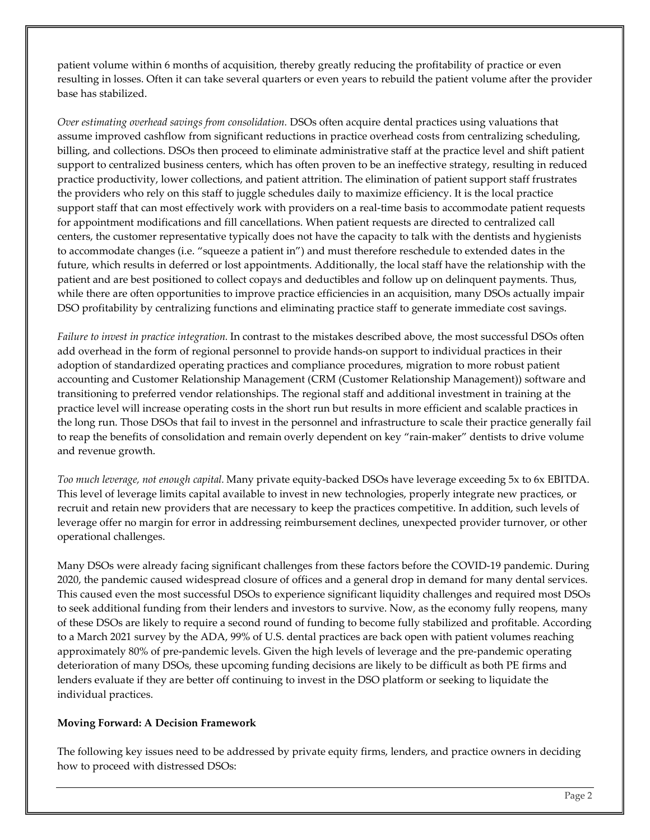patient volume within 6 months of acquisition, thereby greatly reducing the profitability of practice or even resulting in losses. Often it can take several quarters or even years to rebuild the patient volume after the provider base has stabilized.

*Over estimating overhead savings from consolidation.* DSOs often acquire dental practices using valuations that assume improved cashflow from significant reductions in practice overhead costs from centralizing scheduling, billing, and collections. DSOs then proceed to eliminate administrative staff at the practice level and shift patient support to centralized business centers, which has often proven to be an ineffective strategy, resulting in reduced practice productivity, lower collections, and patient attrition. The elimination of patient support staff frustrates the providers who rely on this staff to juggle schedules daily to maximize efficiency. It is the local practice support staff that can most effectively work with providers on a real-time basis to accommodate patient requests for appointment modifications and fill cancellations. When patient requests are directed to centralized call centers, the customer representative typically does not have the capacity to talk with the dentists and hygienists to accommodate changes (i.e. "squeeze a patient in") and must therefore reschedule to extended dates in the future, which results in deferred or lost appointments. Additionally, the local staff have the relationship with the patient and are best positioned to collect copays and deductibles and follow up on delinquent payments. Thus, while there are often opportunities to improve practice efficiencies in an acquisition, many DSOs actually impair DSO profitability by centralizing functions and eliminating practice staff to generate immediate cost savings.

*Failure to invest in practice integration.* In contrast to the mistakes described above, the most successful DSOs often add overhead in the form of regional personnel to provide hands-on support to individual practices in their adoption of standardized operating practices and compliance procedures, migration to more robust patient accounting and Customer Relationship Management (CRM (Customer Relationship Management)) software and transitioning to preferred vendor relationships. The regional staff and additional investment in training at the practice level will increase operating costs in the short run but results in more efficient and scalable practices in the long run. Those DSOs that fail to invest in the personnel and infrastructure to scale their practice generally fail to reap the benefits of consolidation and remain overly dependent on key "rain-maker" dentists to drive volume and revenue growth.

*Too much leverage, not enough capital.* Many private equity-backed DSOs have leverage exceeding 5x to 6x EBITDA. This level of leverage limits capital available to invest in new technologies, properly integrate new practices, or recruit and retain new providers that are necessary to keep the practices competitive. In addition, such levels of leverage offer no margin for error in addressing reimbursement declines, unexpected provider turnover, or other operational challenges.

Many DSOs were already facing significant challenges from these factors before the COVID-19 pandemic. During 2020, the pandemic caused widespread closure of offices and a general drop in demand for many dental services. This caused even the most successful DSOs to experience significant liquidity challenges and required most DSOs to seek additional funding from their lenders and investors to survive. Now, as the economy fully reopens, many of these DSOs are likely to require a second round of funding to become fully stabilized and profitable. According to a March 2021 survey by the ADA, 99% of U.S. dental practices are back open with patient volumes reaching approximately 80% of pre-pandemic levels. Given the high levels of leverage and the pre-pandemic operating deterioration of many DSOs, these upcoming funding decisions are likely to be difficult as both PE firms and lenders evaluate if they are better off continuing to invest in the DSO platform or seeking to liquidate the individual practices.

## **Moving Forward: A Decision Framework**

The following key issues need to be addressed by private equity firms, lenders, and practice owners in deciding how to proceed with distressed DSOs: